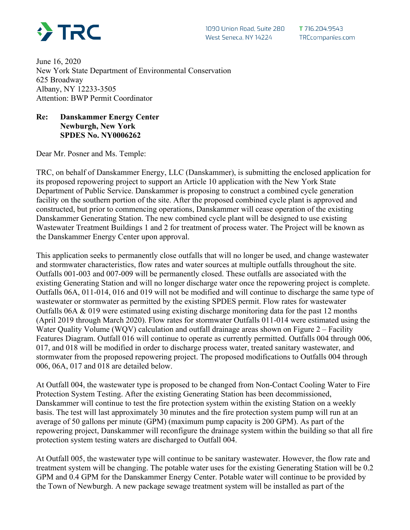

June 16, 2020 New York State Department of Environmental Conservation 625 Broadway Albany, NY 12233-3505 Attention: BWP Permit Coordinator

## **Re: Danskammer Energy Center Newburgh, New York SPDES No. NY0006262**

Dear Mr. Posner and Ms. Temple:

TRC, on behalf of Danskammer Energy, LLC (Danskammer), is submitting the enclosed application for its proposed repowering project to support an Article 10 application with the New York State Department of Public Service. Danskammer is proposing to construct a combined cycle generation facility on the southern portion of the site. After the proposed combined cycle plant is approved and constructed, but prior to commencing operations, Danskammer will cease operation of the existing Danskammer Generating Station. The new combined cycle plant will be designed to use existing Wastewater Treatment Buildings 1 and 2 for treatment of process water. The Project will be known as the Danskammer Energy Center upon approval.

This application seeks to permanently close outfalls that will no longer be used, and change wastewater and stormwater characteristics, flow rates and water sources at multiple outfalls throughout the site. Outfalls 001-003 and 007-009 will be permanently closed. These outfalls are associated with the existing Generating Station and will no longer discharge water once the repowering project is complete. Outfalls 06A, 011-014, 016 and 019 will not be modified and will continue to discharge the same type of wastewater or stormwater as permitted by the existing SPDES permit. Flow rates for wastewater Outfalls 06A & 019 were estimated using existing discharge monitoring data for the past 12 months (April 2019 through March 2020). Flow rates for stormwater Outfalls 011-014 were estimated using the Water Quality Volume (WQV) calculation and outfall drainage areas shown on Figure 2 – Facility Features Diagram. Outfall 016 will continue to operate as currently permitted. Outfalls 004 through 006, 017, and 018 will be modified in order to discharge process water, treated sanitary wastewater, and stormwater from the proposed repowering project. The proposed modifications to Outfalls 004 through 006, 06A, 017 and 018 are detailed below.

At Outfall 004, the wastewater type is proposed to be changed from Non-Contact Cooling Water to Fire Protection System Testing. After the existing Generating Station has been decommissioned, Danskammer will continue to test the fire protection system within the existing Station on a weekly basis. The test will last approximately 30 minutes and the fire protection system pump will run at an average of 50 gallons per minute (GPM) (maximum pump capacity is 200 GPM). As part of the repowering project, Danskammer will reconfigure the drainage system within the building so that all fire protection system testing waters are discharged to Outfall 004.

At Outfall 005, the wastewater type will continue to be sanitary wastewater. However, the flow rate and treatment system will be changing. The potable water uses for the existing Generating Station will be 0.2 GPM and 0.4 GPM for the Danskammer Energy Center. Potable water will continue to be provided by the Town of Newburgh. A new package sewage treatment system will be installed as part of the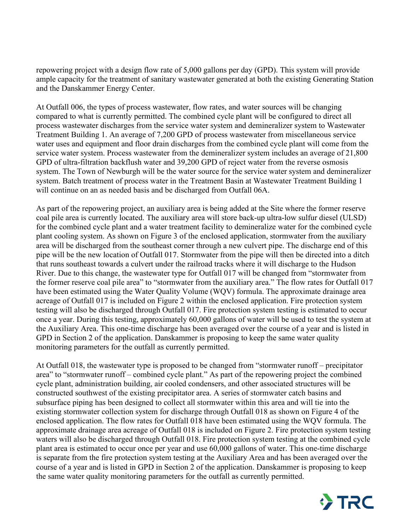repowering project with a design flow rate of 5,000 gallons per day (GPD). This system will provide ample capacity for the treatment of sanitary wastewater generated at both the existing Generating Station and the Danskammer Energy Center.

At Outfall 006, the types of process wastewater, flow rates, and water sources will be changing compared to what is currently permitted. The combined cycle plant will be configured to direct all process wastewater discharges from the service water system and demineralizer system to Wastewater Treatment Building 1. An average of 7,200 GPD of process wastewater from miscellaneous service water uses and equipment and floor drain discharges from the combined cycle plant will come from the service water system. Process wastewater from the demineralizer system includes an average of 21,800 GPD of ultra-filtration backflush water and 39,200 GPD of reject water from the reverse osmosis system. The Town of Newburgh will be the water source for the service water system and demineralizer system. Batch treatment of process water in the Treatment Basin at Wastewater Treatment Building 1 will continue on an as needed basis and be discharged from Outfall 06A.

As part of the repowering project, an auxiliary area is being added at the Site where the former reserve coal pile area is currently located. The auxiliary area will store back-up ultra-low sulfur diesel (ULSD) for the combined cycle plant and a water treatment facility to demineralize water for the combined cycle plant cooling system. As shown on Figure 3 of the enclosed application, stormwater from the auxiliary area will be discharged from the southeast corner through a new culvert pipe. The discharge end of this pipe will be the new location of Outfall 017. Stormwater from the pipe will then be directed into a ditch that runs southeast towards a culvert under the railroad tracks where it will discharge to the Hudson River. Due to this change, the wastewater type for Outfall 017 will be changed from "stormwater from the former reserve coal pile area" to "stormwater from the auxiliary area." The flow rates for Outfall 017 have been estimated using the Water Quality Volume (WQV) formula. The approximate drainage area acreage of Outfall 017 is included on Figure 2 within the enclosed application. Fire protection system testing will also be discharged through Outfall 017. Fire protection system testing is estimated to occur once a year. During this testing, approximately 60,000 gallons of water will be used to test the system at the Auxiliary Area. This one-time discharge has been averaged over the course of a year and is listed in GPD in Section 2 of the application. Danskammer is proposing to keep the same water quality monitoring parameters for the outfall as currently permitted.

At Outfall 018, the wastewater type is proposed to be changed from "stormwater runoff – precipitator area" to "stormwater runoff – combined cycle plant." As part of the repowering project the combined cycle plant, administration building, air cooled condensers, and other associated structures will be constructed southwest of the existing precipitator area. A series of stormwater catch basins and subsurface piping has been designed to collect all stormwater within this area and will tie into the existing stormwater collection system for discharge through Outfall 018 as shown on Figure 4 of the enclosed application. The flow rates for Outfall 018 have been estimated using the WQV formula. The approximate drainage area acreage of Outfall 018 is included on Figure 2. Fire protection system testing waters will also be discharged through Outfall 018. Fire protection system testing at the combined cycle plant area is estimated to occur once per year and use 60,000 gallons of water. This one-time discharge is separate from the fire protection system testing at the Auxiliary Area and has been averaged over the course of a year and is listed in GPD in Section 2 of the application. Danskammer is proposing to keep the same water quality monitoring parameters for the outfall as currently permitted.